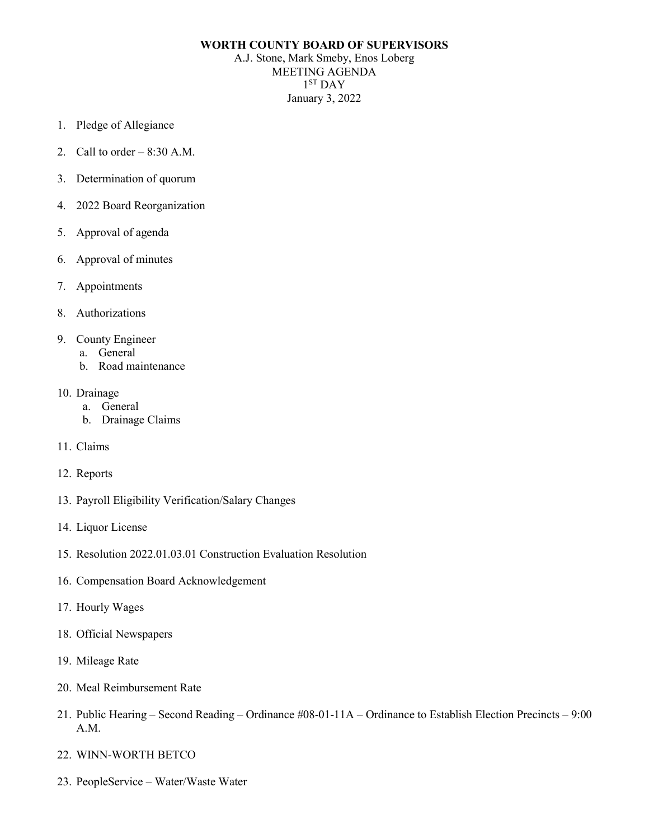# **WORTH COUNTY BOARD OF SUPERVISORS**

A.J. Stone, Mark Smeby, Enos Loberg MEETING AGENDA  $1<sup>ST</sup>$  DAY January 3, 2022

- 1. Pledge of Allegiance
- 2. Call to order  $-8:30$  A.M.
- 3. Determination of quorum
- 4. 2022 Board Reorganization
- 5. Approval of agenda
- 6. Approval of minutes
- 7. Appointments
- 8. Authorizations
- 9. County Engineer
	- a. General
	- b. Road maintenance
- 10. Drainage
	- a. General
	- b. Drainage Claims
- 11. Claims
- 12. Reports
- 13. Payroll Eligibility Verification/Salary Changes
- 14. Liquor License
- 15. Resolution 2022.01.03.01 Construction Evaluation Resolution
- 16. Compensation Board Acknowledgement
- 17. Hourly Wages
- 18. Official Newspapers
- 19. Mileage Rate
- 20. Meal Reimbursement Rate
- 21. Public Hearing Second Reading Ordinance #08-01-11A Ordinance to Establish Election Precincts 9:00 A.M.
- 22. WINN-WORTH BETCO
- 23. PeopleService Water/Waste Water